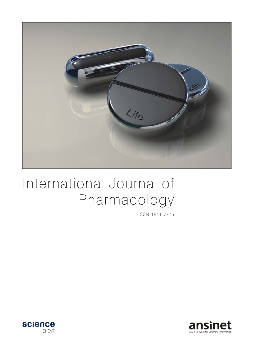

# International Journal of Pharmacology

ISSN 1811-7775



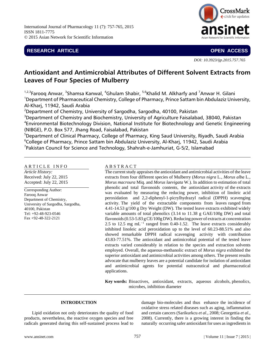International Journal of Pharmacology 11 (7): 757-765, 2015 ISSN 1811-7775 © 2015 Asian Network for Scientific Information

# **RESEARCH ARTICLE OPEN ACCESS**



*DOI: 10.3923/ijp.2015.757.765*

# **Antioxidant and Antimicrobial Attributes of Different Solvent Extracts from Leaves of Four Species of Mulberry**

<sup>1,2,3</sup>Farooq Anwar, <sup>3</sup>Shamsa Kanwal, <sup>4</sup>Ghulam Shabir, <sup>5,6</sup>Khalid M. Alkharfy and <sup>7</sup>Anwar H. Gilani <sup>1</sup>Department of Pharmaceutical Chemistry, College of Pharmacy, Prince Sattam bin Abdulaziz University, Al-Kharj, 11942, Saudi Arabia

 $^2$ Department of Chemistry, University of Sargodha, Sargodha, 40100, Pakistan

 $3$ Department of Chemistry and Biochemistry, University of Agriculture Faisalabad, 38040, Pakistan 4 Environmental Biotechnology Division, National Institute for Biotechnology and Genetic Engineering (NIBGE), P.O. Box 577, Jhang Road, Faisalabad, Pakistan

5 Department of Clinical Pharmacy, College of Pharmacy, King Saud University, Riyadh, Saudi Arabia 6 College of Pharmacy, Prince Sattam bin Abdulaziz University, Al-Kharj, 11942, Saudi Arabia  $^7$ Pakistan Council for Science and Technology, Shahrah-e-Jamhuriat, G-5/2, Islamabad

### ARTICLE INFO

*Article History:* Received: July 22, 2015 Accepted: July 22, 2015

Corresponding Author: Farooq Anwar Department of Chemistry, University of Sargodha, Sargodha, 40100, Pakistan Tel: +92-48-923-0546 Fax +92-48-322-2121

# A B S T R A C T

The current study appraises the antioxidant and antimicrobial activities of the leave extracts from four different species of Mulberry (*Morus nigra* L., *Morus alba* L., *Morus macroura* Miq. and *Morus laevigata* W.). In addition to estimation of total phenolic and total flavonoids contents, the antioxidant activity of the extracts was evaluated by measuring the reducing power, inhibition of linoleic acid peroxidation and 2,2-diphenyl-1-picrylhydrazyl radical (DPPH) scavenging activity. The yield of the extractable components from leaves ranged from 4.41-14.53 g/100 g Dry Weight (DW). The tested leave extracts exhibited widely variable amounts of total phenolics (3.14 to 11.38 g GAE/100g DW) and total flavonoids (0.53-5.83 g CE/100g DW). Reducing power of extracts at concentration 2.5 to 12.5 mg  $mL^{-1}$  ranged from 0.40-1.52. The leave extracts considerably inhibited linoleic acid peroxidation up to the level of 60.23-88.51% and also showed remarkable DPPH radical scavenging activity with contribution 43.83-77.51%. The antioxidant and antimicrobial potential of the tested leave extracts varied considerably in relation to the species and extraction solvents employed. Overall, the aqueous-methanolic extract of *Morus nigra* exhibited the superior antioxidant and antimicrobial activities among others. The present results advocate that mulberry leaves are a potential candidate for isolation of antioxidant and antimicrobial agents for potential nutraceutical and pharmaceutical applications.

**Key words:** Bioactives, antioxidant, extracts, aqueous alcohols, phenolics, microbes, inhibition diameter

# **INTRODUCTION**

Lipid oxidation not only deteriorates the quality of food products, nevertheless, the reactive oxygen species and free radicals generated during this self-sustained process lead to

damage bio-molecules and thus enhance the incidence of oxidative stress related diseases such as aging, inflammation and certain cancers (Sarikurkcu *et al*., 2008; Georgettia *et al*., 2008). Currently, there is a growing interest in finding the naturally occurring safer antioxidant for uses as ingredients in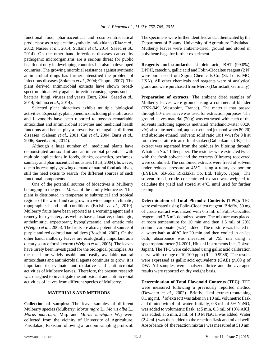functional food, pharmaceutical and cosmo-nutraceutical products so as to replace the synthetic antioxidants (Riaz *et al*., 2012; Naseer *et al*., 2014; Sultana *et al*., 2014; Saeed *et al*., 2014). On the other hand infectious diseases caused by pathogenic microorganisms are a serious threat for public health not only in developing countries but also in developed countries. The growing microbial resistance against synthetic antimicrobial drugs has further intensified the problem of infectious diseases (Sokmen *et al*., 2004; Chopra, 2007). The plant derived antimicrobial extracts have shown broadspectrum bioactivity against infection causing agents such as bacteria, fungi, viruses and yeasts (Burt, 2004; Saeed *et al*., 2014; Sultana *et al*., 2014).

Selected plant bioactives exhibit multiple biological activities. Especially, plant phenolics including phenolic acids and flavonoids have been reported to possess remarkable antioxidant and antimicrobial activities and medicinal health functions and hence, play a preventive role against different diseases (Saleem *et al*., 2001; Cai *et al*., 2004; Baris *et al*., 2006; Saeed *et al*., 2014).

Although a huge number of medicinal plants have demonstrated antioxidant and antimicrobial potential with multiple applications in foods, drinks, cosmetics, perfumes, sanitary and pharmaceutical industries (Burt, 2004), however, due to increasingly growing demand of natural food additives, still the need exists to search for different sources of such functional components.

One of the potential sources of bioactives is Mulberry belonging to the genus *Morus* of the family Moraceae. This plant is distributed in temperate to subtropical and tropical regions of the world and can grow in a wide range of climatic, topographical and soil conditions (Ercisli *et al*., 2010). Mulberry fruits have been reported as a worming agent and a remedy for dysentery, as well as have a laxative, odontalgic, anthelmintic, expectorant, hypoglycaemic and emetic role (Weiguo *et al*., 2005). The fruits are also a potential source of purple and red colored natural dyes (Boschini, 2002). On the other hand, mulberry leaves are ecologically important as a dietary source for silkworm (Weiguo *et al*., 2005). The leaves have rarely been investigated for the biological principles. As the need for widely usable and easily available natural antioxidants and antimicrobial agents continues to grow, it is important to evaluate anti-oxidative and antimicrobial activities of Mulberry leaves. Therefore, the present research was designed to investigate the antioxidant and antimicrobial activities of leaves from different species of Mulberry.

#### **MATERIALS AND METHODS**

**Collection of samples:** The leave samples of different Mulberry species (Mulberry: *Morus nigra* L., *Morus alba* L., *Morus macroura* Miq. and *Morus laevigata* W.) were collected from the vicinity of University of Agriculture, Faisalabad, Pakistan following a random sampling protocol. The specimens were further identified and authenticated by the Department of Botany, University of Agriculture Faisalabad. Mulberry leaves were ambient-dried, ground and stored in polythene bags for further experiment.

**Reagents and standards:** Linoleic acid, BHT (99.0%), DPPH, catechin, gallic acid and Folin-Ciocalteu reagent (2 N) were purchased from Sigma Chemicals Co. (St. Louis, MO, USA). All other chemicals and reagents were of analytical grade and were purchased from Merck (Darmstadt, Germany).

**Preparation of extracts:** The ambient dried samples of Mulberry leaves were ground using a commercial blender (TSK-949, Westpoint, France). The material that passed through 80- mesh sieve was used for extraction purposes. The ground leaves material (20 g) was extracted with each of the solvents including aqueous methanol (methanol:water 80:20 v/v), absolute methanol, aqueous ethanol (ethanol:water 80:20) and absolute ethanol (solvent: solid ratio 10:1 v/w) for 8 h at room temperature in an orbital shaker (Gallenkamp, UK). The extract was separated from the residues by filtering through Whatman No. 1 filter paper. The residues were extracted twice with the fresh solvent and the extracts (filtrates) recovered were combined. The combined extracts were freed of solvent under reduced pressure at 45°C, using a rotary evaporator (EYELA, SB-651, Rikakikai Co. Ltd. Tokyo, Japan). The solvent freed, crude concentrated extract was weighed to calculate the yield and stored at 4°C, until used for further testing.

**Determination of Total Phenolic Contents (TPC):** TPC were estimated using Folin-Ciocalteu reagent. Briefly, 50 mg of crude extract was mixed with 0.5 mL of Folin-Ciocalteu reagent and 7.5 mL deionized water. The mixture was placed at room temperature for 10 min and then 1.5 mL of 20% sodium carbonate (w/v) added. The mixture was heated in a water bath at 40°C for 20 min and then cooled in an ice bath; absorbance was measured at 755 nm using a spectrophotometer (U-2001, Hitachi Instruments Inc., Tokyo, Japan). The TPC were calculated using gallic acid calibration curve within range of 10-100 ppm ( $R^2 = 0.9986$ ). The results were expressed as gallic acid equivalents (GAE) g/100 g of DW. All samples were analyzed thrice and the averaged results were reported on dry weight basis.

**Determination of Total Flavonoid Contents (TFC):** TFC were measured following a previously reported method (Dewanto *et al*., 2002). Briefly, 1 mL extract (containing 0.1 mg mL $^{-1}$  of extract) was taken in a 10 mL volumetric flask and diluted with 4 mL water. Initially,  $0.3$  mL of 5% NaNO<sub>2</sub> was added to volumetric flask; at 5 min,  $0.3$  mL of 10% AlCl<sub>3</sub> was added; at 6 min, 2 mL of 1.0 M NaOH was added. Water (2.4 mL) was then added to the reaction flask and mixed well. Absorbance of the reaction mixture was measured at 510 nm.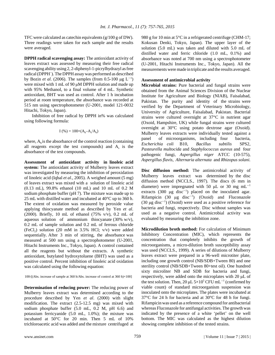TFC were calculated as catechin equivalents (g/100 g of DW). Three readings were taken for each sample and the results were averaged.

**DPPH radical scavenging assay:** The antioxidant activity of leaves extract was assessed by measuring their free radical scavenging ability using 2, 2-diphenyl-1-picrylhydrazyl as free radical (DPPH˙). The DPPH assay was performed as described by Bozin *et al.* (2006). The samples (from 0.5-100  $\mu$ g L<sup>-1</sup>) were mixed with 1 mL of 90 μM DPPH solution and made up with 95% Methanol, to a final volume of 4 mL. Synthetic antioxidant, BHT was used as control. After 1 h incubation period at room temperature, the absorbance was recorded at 515 nm using spectrophotometer (U-2001, model 121-0032 Hitachi, Tokyo, Japan).

Inhibition of free radical by DPPH in% was calculated using following formula:

$$
I(%) = 100 \times (A_b - A_s / A_b)
$$

where,  $A<sub>b</sub>$  is the absorbance of the control reaction (containing all reagents except the test compounds) and  $A<sub>s</sub>$  is the absorbance of the test compounds.

**Assessment of antioxidant activity in linoleic acid system:** The antioxidant activity of Mulberry leaves extract was investigated by measuring the inhibition of peroxidation of linoleic acid (Iqbal *et al*., 2005). A weighed amount (5 mg) of leaves extract was mixed with a solution of linoleic acid (0.13 mL), 99.8% ethanol (10 mL) and 10 mL of 0.2 M sodium phosphate buffer (pH 7). The mixture was made up to 25 mL with distilled water and incubated at 40°C up to 360 h. The extent of oxidation was measured by peroxide value applying thiocyanate method as described by Yen *et al*. (2000). Briefly, 10 mL of ethanol (75% v/v), 0.2 mL of aqueous solution of ammonium thiocyanate (30% w/v), 0.2 mL of sample solution and 0.2 mL of ferrous chloride  $(FeCl<sub>2</sub>)$  solution (20 mM in 3.5% HCl; v/v) were added sequentially. After 3 min of stirring, the absorbance was measured at 500 nm using a spectrophotometer (U-2001, Hitachi Instruments Inc., Tokyo, Japan). A control contained all the reagents but without the extracts. A synthetic antioxidant, butylated hydroxytoluene (BHT) was used as a positive control. Percent inhibition of linoleic acid oxidation was calculated using the following equation:

100-[(Abs. increase of sample at 360 h/Abs. increase of control at 360 h)×100]

**Determination of reducing power:** The reducing power of Mulberry leaves extract was determined according to the procedure described by Yen *et al*. (2000) with slight modification. The extract (2.5-12.5 mg) was mixed with sodium phosphate buffer (5.0 mL, 0.2 M, pH 6.6) and potassium ferricyanide (5.0 mL, 1.0%); the mixture was incubated at 50°C for 20 min. Then 5 mL of 10% trichloroacetic acid was added and the mixture centrifuged at

980 g for 10 min at 5°C in a refrigerated centrifuge (CHM-17; Kokusan Denki, Tokyo, Japan). The upper layer of the solution (5.0 mL) was taken and diluted with 5.0 mL of distilled water and ferric chloride (1.0 mL, 0.1%) and absorbance was noted at 700 nm using a spectrophotometer (U-2001, Hitachi Instruments Inc., Tokyo, Japan). All the measurements were made in triplicate and the results averaged.

# **Assessment of antimicrobial activity**

**Microbial strains:** Pure bacterial and fungal strains were obtained from the Animal Sciences Division of the Nuclear Institute for Agriculture and Biology (NIAB), Faisalabad, Pakistan. The purity and identity of the strains were verified by the Department of Veterinary Microbiology, University of Agriculture, Faisalabad, Pakistan. Bacterial strains were cultured overnight at 37°C in nutrient agar (Oxoid, Hampshire, UK) while fungal strains were cultured overnight at 30°C using potato dextrose agar (Oxoid). Mulberry leaves extracts were individually tested against a panel of microorganisms, including four bacteria, *Escherichia coli* B10, *Bacillus subtilis* SPS2, *Pasteurella multocida* and *Staphylococcus aureus* and four pathogenic fungi, *Aspergillus niger* ATCC (10-575), *Aspergillus flavis*, *Alternaria alternata* and *Rhizopus solani.*

**Disc diffusion method:** The antimicrobial activity of Mulberry leaves extract was determined by the disc diffusion method (NCCLS., 1997). The discs (6 mm in diameter) were impregnated with 50  $\mu$ L or 30 mg mL<sup>-1</sup> extracts (300  $\mu$ g disc<sup>-1</sup>) placed on the inoculated agar. Rifampicin (30  $\mu$ g disc<sup>-1</sup>) (Oxoid) and Fluconazole (30  $\mu$ g disc<sup>-1</sup>) (Oxoid) were used as a positive reference for bacteria and fungi, respectively. Disc without samples was used as a negative control. Antimicrobial activity was evaluated by measuring the inhibition zone.

**Microdilution broth method:** For calculation of Minimum Inhibitory Concentration (MIC), which represents the concentration that completely inhibits the growth of microorganisms, a micro-dilution broth susceptibility assay was used (NCCLS., 1999). A series of dilutions of Mulberry leaves extract were prepared in a 96-well microtiter plate, including one growth control (NB/SDB+Tween 80) and one sterility control (NB/SDB+Tween 80+test oil). One hundred sixty microliter NB and SDB for bacteria and fungi, respectively, were added onto the microplates with 20 μL of the test solution. Then, 20  $\mu$ L 5×10<sup>5</sup> CFU mL<sup>-1</sup> (confirmed by viable count) of standard microorganism suspension was inoculated onto the microplates. The plates were incubated at 37°C for 24 h for bacteria and at 30°C for 48 h for fungi. Rifampicin was used as a reference compound for antibacterial whereas Fluconazole for antifungal activities. The growth was indicated by the presence of a white 'pellet' on the well bottom. The MIC was calculated as the highest dilution showing complete inhibition of the tested strains.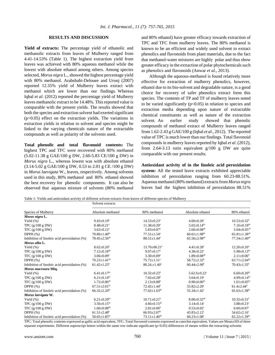#### **RESULTS AND DISCUSSION**

**Yield of extracts:** The percentage yield of ethanolic and methanolic extracts from leaves of Mulberry ranged from 4.41-14.53% (Table 1). The highest extraction yield from leaves was achieved with 80% aqueous methanol while the lowest with absolute ethanol among others. Among species selected*, Morus nigra* L., showed the highest percentage yield with 80% methanol. Arabshahi-Delouee and Urooj (2007) reported 12.35% yield of Mulberry leaves extract with methanol which are lower than our findings. Whereas Iqbal *et al*. (2012) reported the percentage yield of Mulberry leaves methanolic extract to be 14.48%. This reported value is comparable with the present yields. The results showed that both the species and extraction solvent had exerted significant  $(p<0.05)$  effect on the extraction yields. The variations in extraction yields in relation to solvent and species might be linked to the varying chemicals nature of the extractable compounds as well as polarity of the solvents used.

**Total phenolic and total flavonoid contents:** The highest TPC and TFC were recovered with 80% methanol (5.02-11.38 g GAE/100 g DW, 2.60-5.83 CE/100 g DW) in *Morus nigra* L., whereas lowest was with absolute ethanol (3.14-5.02 g GAE/100 g DW, 0.53 to 2.01 g CE /100 g DW) in *Morus laevigata* W., leaves, respectively. Among solvents used in this study, 80% methanol and 80% ethanol showed the best recovery for phenolic components. It can also be observed that aqueous mixture of solvents (80% methanol and 80% ethanol) have greater efficacy towards extraction of TPC and TFC from mulberry leaves. The 80% methanol is known to be an efficient and widely used solvent to extract phenolics and flavonoids from plant materials, due to the fact that methanol-water mixtures are highly polar and thus show greater efficacy in the extraction of polar phytochemicals such as phenolics and flavonoids (Anwar *et al*., 2013).

Although the aqueous-methanol is found relatively more effective for extraction of mulberry phenolics, however, ethanol due to its bio-solvent and degradable nature, is a good choice for recovery of safer phenolics extract form this species. The contents of TP and TF of mulberry leaves noted to be varied significantly  $(p<0.05)$  in relation to species and extraction media depending upon nature of extractable chemical constituents as well as nature of the extraction solvent. An earlier study showed that phenolic compounds of methanol extract of Mulberry leaves ranged from 1.62-2.43 g GAE/100 g (Iqbal *et al*., 2012). The reported value of TPC is much lower than our findings. Total flavonoid compounds in mulberry leaves reported by Iqbal *et al*. (2012), from 2.64-3.13 rutin equivalent g/100 g DW are quite comparable with our present results.

**Antioxidant activity of in the linoleic acid peroxidation system:** All the tested leave extracts exhibited appreciable inhibition of peroxidation ranging from 60.23-88.51%. Aqueous methanol (80% methanol) extracts from *Morus nigra* leaves had the highest inhibition of peroxidation 88.51%

Table 1: Yields and antioxidant activity of different solvent extracts from leaves of different species of Mulberry

|                                              | Solvent extracts               |                                |                                |                                |  |  |  |
|----------------------------------------------|--------------------------------|--------------------------------|--------------------------------|--------------------------------|--|--|--|
| Species of Mulberry                          | Absolute methanol              | 80% methanol                   | Absolute ethanol               | 80% ethanol                    |  |  |  |
| Morus nigra L.                               |                                |                                |                                |                                |  |  |  |
| Yield $(\%)$                                 | $9.43 \pm 0.19^b$              | $14.53 \pm 0.23$ <sup>a</sup>  | $4.60 \pm 0.26$ <sup>c</sup>   | $10.53 \pm 0.32^b$             |  |  |  |
| TPC $(g/100 g DW)$                           | $8.48 \pm 0.21$ <sup>a</sup>   | $11.38 \pm 0.20^a$             | $5.02 \pm 0.14$ <sup>bc</sup>  | $7.16 \pm 0.18$ bc             |  |  |  |
| TFC $(g/100 g DW)$                           | $3.62 \pm 0.12^a$              | $5.83 \pm 0.07$ <sup>a</sup>   | $2.60 \pm 0.08$ <sup>ab</sup>  | $3.04 \pm 0.05^{ab}$           |  |  |  |
| DPPH $(\%)$                                  | $70.80 \pm 1.40$ <sup>bc</sup> | $77.51 \pm 1.54^a$             | $60.61 \pm 1.98$ <sup>bc</sup> | $65.81 \pm 1.38$ <sup>ab</sup> |  |  |  |
| Inhibition of linoleic acid peroxidation (%) | $78.45 \pm 2.50$ <sup>ab</sup> | $88.51 \pm 1.44^a$             | $65.56 \pm 2.98$ <sup>ab</sup> | $77.54 \pm 1.40^{ab}$          |  |  |  |
| Morus alba L.                                |                                |                                |                                |                                |  |  |  |
| Yield $(\%)$                                 | $8.62 \pm 0.26$ <sup>b</sup>   | $13.70 \pm 00.21$ <sup>a</sup> | $4.41 \pm 0.28$ <sup>c</sup>   | $12.20 \pm 0.20^a$             |  |  |  |
| TPC $(g/100 g DW)$                           | $7.12 \pm 0.18^{ab}$           | $9.07 \pm 0.17^{\text{a}}$     | $4.38 \pm 0.22$ <sup>c</sup>   | $5.98 \pm 0.13$ <sup>bc</sup>  |  |  |  |
| TFC (g/100 g DW)                             | $3.06 \pm 0.09^a$              | $3.30 \pm 0.09^a$              | $1.89 \pm 0.08$ <sup>ab</sup>  | $2.11 \pm 0.06^b$              |  |  |  |
| DPPH $(\%)$                                  | $70.23 \pm 1.41$ <sup>ab</sup> | $75.72 \pm 1.51$ <sup>a</sup>  | $58.72 \pm 2.32^b$             | $63.71 \pm 2.04$ <sup>bc</sup> |  |  |  |
| Inhibition of linoleic acid peroxidation (%) | $61.42 \pm 1.25^b$             | $80.24 \pm 1.40^a$             | $60.44 \pm 2.90^b$             | $70.43 \pm 1.35$ <sup>b</sup>  |  |  |  |
| Morus macroura Miq.                          |                                |                                |                                |                                |  |  |  |
| Yield $(\%)$                                 | $6.41 \pm 0.17$ <sup>bc</sup>  | $10.32 + 0.22^b$               | $5.62.6 \pm 0.22$ <sup>c</sup> | $6.60 \pm 0.20$ <sup>bc</sup>  |  |  |  |
| TPC $(g/100 g DW)$                           | $6.21 \pm 0.14$ <sup>bc</sup>  | $7.02 \pm 0.28$ <sup>b</sup>   | $3.64 \pm 0.19$ <sup>c</sup>   | 4.99 $\pm$ 0.14 <sup>bc</sup>  |  |  |  |
| TFC $(g/100 g DW)$                           | $1.72 \pm 0.06^{ab}$           | $2.13 \pm 0.08^b$              | $0.90 \pm 0.06$ <sup>bc</sup>  | $1.01 \pm 0.05^{bc}$           |  |  |  |
| DPPH $(\%)$                                  | $67.51 \pm 2.01$ <sup>bc</sup> | $72.42 \pm 1.44^b$             | $55.82 \pm 2.20^{\circ}$       | $61.4 \pm 2.44^b$              |  |  |  |
| Inhibition of linoleic acid peroxidation (%) | $66.32 \pm 2.20$ <sup>bc</sup> | $77.02 \pm 1.63^{ab}$          | $55.34 \pm 1.42$ <sup>c</sup>  | $65.63 \pm 1.38$ <sup>bc</sup> |  |  |  |
| Morus laevigata W.                           |                                |                                |                                |                                |  |  |  |
| Yield $(\%)$                                 | $6.21 \pm 0.20$ <sup>bc</sup>  | $10.71 \pm 0.21^b$             | $8.00 \pm 0.32$ <sup>ab</sup>  | $10.32 \pm 0.31^b$             |  |  |  |
| TPC $(g/100 g DW)$                           | $3.56 \pm 0.15$ <sup>bc</sup>  | $4.66 \pm 0.15^{ab}$           | $3.14 \pm 0.14$ <sup>c</sup>   | $3.88 \pm 0.23$ <sup>c</sup>   |  |  |  |
| TFC $(g/100 g DW)$                           | $1.60 \pm 0.08$ <sup>ab</sup>  | $2.01 \pm 0.06^b$              | $0.53 \pm 0.02$ <sup>c</sup>   | $0.60 \pm 0.07$ <sup>c</sup>   |  |  |  |
| DPPH (%)                                     | $61.51 \pm 2.48$ <sup>b</sup>  | $66.93 \pm 2.07$ <sup>b</sup>  | $43.83 \pm 2.12$ <sup>c</sup>  | $54.62 \pm 2.16$ <sup>c</sup>  |  |  |  |
| Inhibition of linoleic acid peroxidation (%) | $50.65 \pm 1.85$ <sup>bc</sup> | $73.11 \pm 1.40$ <sup>ab</sup> | $60.23 \pm 1.08$ <sup>c</sup>  | $65.22 \pm 1.39$ <sup>bc</sup> |  |  |  |

TPC: Total phenolic contents expressed as gallic acid equivalent, TFC: Total flavonoid contents expressed as catechin equivalent, Values are Mean±SD of three separate experiments. Different superscript letters within the same row indicate significant (p<0.05) differences of means within the extracting solvents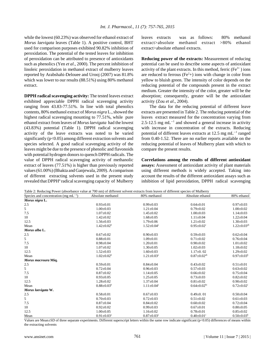while the lowest (60.23%) was observed for ethanol extract of *Morus laevigata* leaves (Table 1). A positive control, BHT used for comparison purposes exhibited 90.82% inhibition of peroxidation. The potential of the tested leaves for inhibition of peroxidation can be attributed to presence of antioxidants such as phenolics (Yen *et al*., 2000). The percent inhibition of linoleic peroxidation in methanol extract of mulberry leaves reported by Arabshahi-Delouee and Urooj (2007) was 81.8% which was lower to our results (88.51%) using 80% methanol extract.

**DPPH radical scavenging activity:** The tested leaves extract exhibited appreciable DPPH radical scavenging activity ranging from 43.83-77.51%. In line with total phenolics contents, 80% methanol extract of *Morus nigra* L., showed the highest radical scavenging mounting to 77.51%, while pure ethanol extract from leaves of *Morus laevigata* had the lowest (43.83%) potential (Table 1). DPPH radical scavenging activity of the leave extracts was noted to be varied significantly  $(p<0.05)$  among different extraction solvents and species selected. A good radical scavenging activity of the leaves might be due to the presence of phenolic and flavonoids with potential hydrogen donors to quench DPPH radicals. The value of DPPH radical scavenging activity of methanolic extract of leaves (77.51%) is higher than previously reported values (61.00%) (Bhakta and Ganjewala, 2009). A comparison of different extracting solvents used in the present study revealed that DPPHº radical scavenging capacity of Mulberry leaves extracts was as follows: 80% methanol extract>absolute methanol extract >80% ethanol extract>absolute ethanol extracts.

**Reducing power of the extracts:** Measurement of reducing potential can be used to describe some aspects of antioxidant activity of the plant extracts. In this method, ferric  $(Fe^{3+})$  ions are reduced to ferrous ( $Fe<sup>2</sup>$ +) ions with change in color from yellow to bluish green. The intensity of color depends on the reducing potential of the compounds present in the extract medium. Greater the intensity of the color, greater will be the absorption; consequently, greater will be the antioxidant activity (Zou *et al*., 2004).

The data for the reducing potential of different leave extracts are presented in Table 2. The reducing potential of the leaves extract measured for the concentration varying from 2.5-12.5 mg  $mL^{-1}$  and showed a general increase in activity with increase in concentration of the extracts. Reducing potential of different leaves extracts at 12.5 mg mL $^{-1}$  ranged from 0.40-1.52. There are no earlier reports available on the reducing potential of leaves of Mulberry plant with which to compare the present results.

**Correlations among the results of different antioxidant assays:** Assessment of antioxidant activity of plant materials using different methods is widely accepted. Taking into account the results of the different antioxidant assays such as inhibition of lipid peroxidation, DPPH radical scavenging

|  |  |  | Table 2: Reducing Power (absorbance value at 700 nm) of different solvent extracts from leaves of different species of Mulberry |  |  |  |
|--|--|--|---------------------------------------------------------------------------------------------------------------------------------|--|--|--|
|  |  |  |                                                                                                                                 |  |  |  |
|  |  |  |                                                                                                                                 |  |  |  |
|  |  |  |                                                                                                                                 |  |  |  |

| Species and concentration (mg $mL^{-1}$ ) | Absolute methanol | 80% methanol               | Absolute ethanol              | 80% ethanol                  |
|-------------------------------------------|-------------------|----------------------------|-------------------------------|------------------------------|
| Morus nigra L.                            |                   |                            |                               |                              |
| 2.5                                       | $0.93 \pm 0.01$   | $0.99 \pm 0.03$            | $0.64 \pm 0.01$               | $0.97 \pm 0.03$              |
| 5                                         | $1.00 \pm 0.03$   | $1.21 \pm 0.04$            | $0.79 + 0.02$                 | $1.00 \pm 0.02$              |
| 7.5                                       | $1.07 \pm 0.02$   | $1.45 \pm 0.02$            | $1.00 \pm 0.03$               | $1.14 \pm 0.03$              |
| 10                                        | $1.42 \pm 0.02$   | $1.68 \pm 0.05$            | $1.11 \pm 0.04$               | $1.22 \pm 0.04$              |
| 12.5                                      | $1.56 \pm 0.03$   | $1.79 \pm 0.06$            | $1.21 \pm 0.02$               | $1.30 \pm 0.03$              |
| Mean                                      | $1.42 \pm 0.02^b$ | $1.52 \pm 0.04^a$          | $0.95 \pm 0.02$ <sup>c</sup>  | $1.22 \pm 0.03^{ab}$         |
| Morus alba L.                             |                   |                            |                               |                              |
| 2.5                                       | $0.67 \pm 0.02$   | $0.90 \pm 0.03$            | $0.59 + 0.03$                 | $0.62 \pm 0.04$              |
| 5                                         | $0.88 \pm 0.01$   | $1.09 \pm 0.01$            | $0.71 \pm 0.02$               | $0.76 \pm 0.04$              |
| 7.5                                       | $0.98 \pm 0.04$   | $1.20 \pm 0.01$            | $0.90 \pm 0.02$               | $1.01 \pm 0.02$              |
| 10                                        | $1.07 \pm 0.02$   | $1.30 \pm 0.05$            | $1.02 \pm 0.03$               | $1.18 \pm 0.02$              |
| 12.5                                      | $1.52 \pm 0.03$   | $1.60 \pm 0.03$            | $1.17\pm0.02$                 | $1.29 \pm 0.02$              |
| Mean                                      | $1.02 \pm 0.02^b$ | $1.21 \pm 0.03^a$          | $0.87 \pm 0.02$ <sup>ab</sup> | $0.97 \pm 0.03^b$            |
| Morus macroura Miq.                       |                   |                            |                               |                              |
| 2.5                                       | $0.59 \pm 0.01$   | $0.84 \pm 0.04$            | $0.43 \pm 0.02$               | $0.51 \pm 0.01$              |
| 5                                         | $0.72 \pm 0.04$   | $0.96 \pm 0.03$            | $0.57 \pm 0.03$               | $0.63 \pm 0.02$              |
| 7.5                                       | $0.87 + 0.02$     | $1.14 \pm 0.05$            | $0.66 \pm 0.02$               | $0.75 \pm 0.04$              |
| 10                                        | $0.93 \pm 0.05$   | $1.25 \pm 0.05$            | $0.73 \pm 0.03$               | $0.82 \pm 0.02$              |
| 12.5                                      | $1.28 \pm 0.02$   | $1.37 \pm 0.04$            | $0.81 \pm 0.02$               | $0.90 \pm 0.02$              |
| Mean                                      | $0.88 \pm 0.03^b$ | $1.11 \pm 0.04^a$          | $0.64 \pm 0.02$ <sup>bc</sup> | $0.72 \pm 0.02$ <sup>c</sup> |
| Morus laevigata W.                        |                   |                            |                               |                              |
| 2.5                                       | $0.58 \pm 0.01$   | $0.67 \pm 0.03$            | $0.49 \pm 0.01$               | $0.50 \pm 0.04$              |
| 5                                         | $0.70 \pm 0.03$   | $0.72 \pm 0.03$            | $0.51 \pm 0.02$               | $0.61 \pm 0.03$              |
| 7.5                                       | $0.87 + 0.04$     | $0.84 \pm 0.02$            | $0.60 \pm 0.02$               | $0.72 \pm 0.04$              |
| 10                                        | $0.92 \pm 0.02$   | $0.99 \pm 0.03$            | $0.67 \pm 0.01$               | $0.80 \pm 0.05$              |
| 12.5                                      | $1.00 \pm 0.05$   | $1.16 \pm 0.02$            | $0.78 \pm 0.01$               | $0.85 \pm 0.02$              |
| Mean                                      | $0.91 \pm 0.03^a$ | $0.87 \pm 0.03^{\text{a}}$ | $0.40 \pm 0.01$ <sup>c</sup>  | $0.50 \pm 0.03^b$            |
|                                           |                   |                            |                               |                              |

Values are Mean±SD of three separate experiments. Different superscript letters within the same row indicate significant (p<0.05) differences of means within the extracting solvents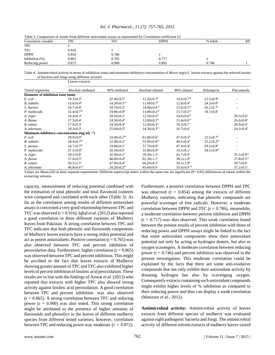#### *Int. J. Pharmacol., 11 (7): 757-765, 2015*

| Table 5. Comparison of results from unferent antioxidant assays as represented by Correlation coefficient (1) |            |       |       |         |    |  |  |  |
|---------------------------------------------------------------------------------------------------------------|------------|-------|-------|---------|----|--|--|--|
| Correlation variable                                                                                          | <b>TPC</b> | TFC   | DPPH  | % Inhib | RP |  |  |  |
| <b>TPC</b>                                                                                                    |            |       |       |         |    |  |  |  |
| <b>TFC</b>                                                                                                    | 0.916      |       |       |         |    |  |  |  |
| <b>DPPH</b>                                                                                                   | 0.854      | 0.786 |       |         |    |  |  |  |
| Inhibition $(\%)$                                                                                             | 0.865      | 0.765 | 0.717 |         |    |  |  |  |
| Reducing power                                                                                                | 0.872      | 0.900 | 0.881 | 0.746   |    |  |  |  |

Table 3: Comparison of results from different antioxidant assays as represented by Correlation coefficient (r)

Table 4: Antimicrobial activity in terms of inhibition zones and minimum inhibitory concentration of *Morus nigra* L. leaves extracts against the selected strains of bacteria and fungi using different solvents

|                                  | Leaves extracts                                  |                               |                               |                              |                              |                              |  |  |  |
|----------------------------------|--------------------------------------------------|-------------------------------|-------------------------------|------------------------------|------------------------------|------------------------------|--|--|--|
| Tested organisms                 | Absolute methanol                                | 80% methanol                  | Absolute ethanol              | 80% ethanol                  | Rifampicin                   | Fluconazole                  |  |  |  |
| Diameter of inhibition zone (mm) |                                                  |                               |                               |                              |                              |                              |  |  |  |
| E. coli                          | $19.3 \pm 0.5^{\rm b}$                           | $22.40 \pm 0.5^{\rm b}$       | $12.20 \pm 0.7$ <sup>d</sup>  | $14.6 \pm 0.7$ <sup>cd</sup> | $22.5 \pm 0.9^b$             |                              |  |  |  |
| <b>B.</b> subtilis               | $13.6 \pm 0.4$ <sup>d</sup>                      | $14.20 \pm 0.3$ <sup>cd</sup> | $11.60 \pm 0.7$ <sup>d</sup>  | $12.8 \pm 0.4$ <sup>d</sup>  | $24.3 \pm 0.6^b$             |                              |  |  |  |
| S. Aureus                        | $16.7 \pm 0.4^{\circ}$                           | $18.70 + 0.3$ <sup>c</sup>    | $14.40 + 0.4$ <sup>cd</sup>   | $15.6 \pm 0.5$ <sup>cd</sup> | $26.2 \pm 0.7^{\text{a}}$    |                              |  |  |  |
| P. multocida                     | $15.4 \pm 0.7$ <sup>cd</sup>                     | $19.90 \pm 0.8^{\circ}$       | $13.80 \pm 0.2$ <sup>cd</sup> | $15.7 \pm 0.5$ <sup>cd</sup> | $18.7 \pm 0.8$ <sup>c</sup>  |                              |  |  |  |
| A. niger                         | $16.4 \pm 0.3$ <sup>c</sup>                      | $18.10 \pm 0.3$ <sup>c</sup>  | $12.50 \pm 0.5^{\circ}$       | $14.6 \pm 0.6$ <sup>cd</sup> |                              | $28.5 \pm 0.6^a$             |  |  |  |
| A. flavus                        | $17.5 \pm 0.4^{\circ}$                           | $24.50 \pm 0.4^b$             | $12.60 \pm 0.3$ <sup>d</sup>  | $15.4 \pm 0.6$ <sup>cd</sup> |                              | $26.6 \pm 0.8^{\text{a}}$    |  |  |  |
| R. solani                        | $17.9 \pm 0.3$ <sup>c</sup>                      | $24.50 \pm 0.4^b$             | $12.40 + 0.3d$                | $16.3 \pm 0.7$ <sup>c</sup>  |                              | $28.9 \pm 0.5^{\text{a}}$    |  |  |  |
| A. alternata                     | $18.3 \pm 0.3$ <sup>c</sup>                      | $25.60 \pm 0.5^{\rm b}$       | $14.30 \pm 0.3$ <sup>cd</sup> | $16.7 \pm 0.6^{\circ}$       |                              | $24.3 \pm 0.4^b$             |  |  |  |
|                                  | Minimum inhibitory concentration (mg $mL^{-1}$ ) |                               |                               |                              |                              |                              |  |  |  |
| E. coli                          | $29.9 \pm 0.9$ <sup>d</sup>                      | $24.40 \pm 0.2$ <sup>de</sup> | $61.80 \pm 0.6^{\circ}$       | $47.9 + 0.5^{\rm b}$         | $32.5 \pm 0.7$ <sup>d</sup>  |                              |  |  |  |
| <b>B.</b> subtilis               | $24.4 \pm 0.7$ <sup>de</sup>                     | $22.00+0.2^e$                 | $55.90+0.9^{ab}$              | $49.5 + 0.4b$                | $25.2 \pm 0.2$ <sup>de</sup> |                              |  |  |  |
| S. aureus                        | $24.7 \pm 0.7$ <sup>de</sup>                     | $19.00+0.1^e$                 | $57.70 + 0.9^a$               | $47.9 \pm 0.4^{\circ}$       | $29.3 \pm 0.8$ <sup>d</sup>  |                              |  |  |  |
| P. multocida                     | $27.5 \pm 0.9$ <sup>d</sup>                      | $20.18 \pm 0.6^e$             | $31.80 \pm 0.9$ <sup>d</sup>  | $19.5 \pm 0.1^e$             | $34.5 \pm 0.8$ <sup>cd</sup> |                              |  |  |  |
| A. niger                         | $39.5 \pm 0.8$ <sup>c</sup>                      | $32.50 \pm 0.1$ <sup>d</sup>  | $59.20 \pm 1.5^{\circ}$       | $41.7 \pm 0.9$ <sup>c</sup>  |                              | $35.5 \pm 0.9$ <sup>cd</sup> |  |  |  |
| A. flavus                        | $57.4 \pm 0.5^{\text{a}}$                        | $48.00 \pm 0.4^b$             | $62.30 \pm 1.1^a$             | $58.2 \pm 1.9^a$             |                              | $37.8 \pm 0.5$ <sup>cd</sup> |  |  |  |
| R. solani                        | $59.5 \pm 1.5^{\circ}$                           | $47.90 \pm 0.4^{\circ}$       | $66.20 \pm 0.1^a$             | $50.5 \pm 1.8^b$             |                              | $39.7 \pm 0.6^{\circ}$       |  |  |  |
| A. alternata                     | $46.8 \pm 0.4$ <sup>ab</sup>                     | $24.20 \pm 0.2$ <sup>de</sup> | $45.60 \pm 0.9$               | $35.6 \pm 0.9$ cd            |                              | $37.2 \pm 0.5$ <sup>c</sup>  |  |  |  |

Values are Mean±SD of three separate experiments. Different superscript letters within the same row are significant (P< 0.05) differences of means within the extracting solvents

capacity, measurement of reducing potential combined with the estimation of total phenolic and total flavonoid contents were compared and correlated with each other (Table 3). As far as the correlation among results of different antioxidant assays is concerned a very good relationship between TPC and TFC was observed (r = 0.916). Iqbal *et al.* (2012) also reported a good correlation in three different varieties of Mulberry leaves from Pakistan. A strong correlation between TPC and TFC indicates that both phenolic and flavonoids components of Mulberry leaves extracts have a strong redox potential and act as potent antioxidants. Positive correlation  $(r = 0.765)$  was also observed between TFC and percent inhibition of peroxidation data. Furthermore, higher correlation ( $r = 0.865$ ) was observed between TPC and percent inhibition. This might be ascribed to the fact that leaves extracts of Mulberry showing greater amount of TPC and TFC also exhibited higher levels of percent inhibition of linoleic acid peroxidation. These results are in line with the findings of Anwar *et al*. (2013) who reported that extracts with higher TPC also showed strong activity against linoleic acid peroxidation. A good correlation between TPC and percent inhibition was also observed  $(r = 0.865)$ . A strong correlation between TFC and reducing power ( $r = 0.900$ ) was also noted. This strong correlation might be attributed to the presence of higher amounts of flavonoids and phenolics in the leaves of different mulberry species from different tested varieties; however, correlation between TPC and reducing power was moderate  $(r = 0.872)$ . Furthermore, a positive correlation between DPPH and TPC was observed  $(r = 0.854)$  among the extracts of different Mulberry varieties, indicating that phenolic compounds are powerful scavenger of free radicals. However, a moderate correlation between DPPH and TFC ( $r = 0.786$ ), meanwhile, a moderate correlation between percent inhibition and DPPH  $(r = 0.717)$  was also observed. This weak correlation found between the present results of percent inhibition with those of reducing power and DPPH assays might be linked to the fact that some antioxidant components show their antioxidant potential not only by acting as hydrogen donors, but also as oxygen scavengers. A moderate correlation between reducing power  $(r = 0.746)$  and percent inhibition was observed in the present investigation. This moderate correlation could be explained by the facts that there are some anti-oxidative compounds that not only exhibit their antioxidant activity by donating hydrogen but also by scavenging oxygen. Consequently extracts containing such antioxidant compounds might exhibit higher levels of % inhibition as compared to their reducing power and thus can display a weak correlation (Manzoor *et al*., 2012).

**Antimicrobial activity:** Antimicrobial activity of leaves extracts from different species of mulberry was evaluated against eight pathogenic bacteria and fungi. The antimicrobial activity of different solvent extracts of mulberry leaves varied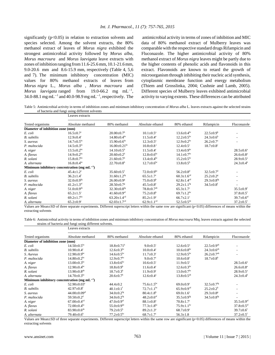significantly  $(p<0.05)$  in relation to extraction solvents and species selected. Among the solvent extracts, the 80% methanol extract of leaves of *Morus nigra* exhibited the strongest antimicrobial activity followed by *Morus alba, Morus macroura* and *Morus laevigata* leave extracts with zones of inhibition ranging from 11.6-25.6 mm, 10.1-21.6 mm, 9.0-20.6 mm and 8.6-15.9 mm, respectively (Table 4, 5,6 and 7). The minimum inhibitory concentration (MIC) values for 80% methanol extracts of leaves from *Morus nigra* L., *Morus alba* , *Morus macroura* and *Morus laevigata* ranged from 19.0-66.2 mg  $mL^{-1}$ , 34.0-88.1 mg mL<sup> $-1$ </sup> and 40.0-98.9 mg mL $^{-1}$ , respectively. The

Leaves extracts

 antimicrobial activity in terms of zones of inhibition and MIC data of 80% methanol extract of Mulberry leaves was comparable with the respective standard drugs Rifampicin and Fluconazole. The higher antimicrobial activity of 80% methanol extract of *Morus nigra* leaves might be partly due to the higher contents of phenolic acids and flavonoids in this extract. Flavonoids are known to retard the growth of microorganism through inhibiting their nucleic acid synthesis, cytoplasmic membrane function and energy metabolism (Thiem and Grosslinka, 2004; Cushnie and Lamb, 2005). Different species of Mulberry leaves exhibited antimicrobial activity to varying extents. These differences can be attributed

Table 5: Antimicrobial activity in terms of inhibition zones and minimum inhibitory concentration of *Morus alba* L. leaves extracts against the selected strains of bacteria and fungi using different solvents

|                                  | Leaves extracts                                         |                                |                              |                              |                              |                              |  |  |  |
|----------------------------------|---------------------------------------------------------|--------------------------------|------------------------------|------------------------------|------------------------------|------------------------------|--|--|--|
| Tested organisms                 | Absolute methanol                                       | 80% methanol                   | Absolute ethanol             | 80% ethanol                  | Rifampicin                   | Fluconazole                  |  |  |  |
| Diameter of inhibition zone (mm) |                                                         |                                |                              |                              |                              |                              |  |  |  |
| E. coli                          | $16.5 \pm 0.7$ <sup>c</sup>                             | $20.00 \pm 0.7^{\circ}$        | $10.1 \pm 0.5^{\text{a}}$    | $13.6 \pm 0.4^{\rm bc}$      | $22.5 \pm 0.9^b$             |                              |  |  |  |
| <b>B.</b> subtilis               | $12.9 \pm 0.4$ <sup>c</sup>                             | $14.80 \pm 0.4$ <sup>bc</sup>  | $11.5 \pm 0.4^a$             | $12.2 \pm 0.5^{\rm bc}$      | $24.3 \pm 0.6^b$             |                              |  |  |  |
| S. aureus                        | $14.7 \pm 0.5^{bc}$                                     | $15.90 + 0.6^{bc}$             | $12.3 \pm 0.5^{\text{a}}$    | $12.9 + 0.2^{bc}$            | $26.2 \pm 0.7^{\text{a}}$    |                              |  |  |  |
| P. multocida                     | $14.5 \pm 0.3$ <sup>bc</sup>                            | $16.00 \pm 0.21$ <sup>bc</sup> | $10.8 \pm 0.8$ <sup>c</sup>  | $12.4 \pm 0.5$ <sup>c</sup>  | $18.7 \pm 0.8$ <sup>c</sup>  |                              |  |  |  |
| A. niger                         | $13.5 \pm 0.2$ <sup>bc</sup>                            | $14.10\pm0.5^{\rm b}$          | $11.5 \pm 0.4$ °             | $13.4 \pm 0.9$ <sup>bc</sup> |                              | $28.5 \pm 0.6^a$             |  |  |  |
| A. flavus                        | $14.9 \pm 0.2^{\rm bc}$                                 | $20.60 \pm 0.2^b$              | $12.8 \pm 0.6^{\rm bc}$      | $14.1 \pm 0.7$ <sup>bc</sup> |                              | $26.6 \pm 0.8^{\text{a}}$    |  |  |  |
| R. solani                        | $15.8 \pm 0.7$ <sup>bc</sup>                            | $21.60 \pm 0.7$ <sup>b</sup>   | $13.4 \pm 0.4^{\rm bc}$      | $15.2 \pm 0.5^{\rm bc}$      |                              | $28.9 \pm 0.5^{\text{a}}$    |  |  |  |
| A. alternata                     | $16.8 \pm 0.4^{bc}$                                     | $22.70 \pm 0.8^{\rm b}$        | $12.7 \pm 0.6^{\rm bc}$      | $13.8 \pm 0.5^{\rm b}$       |                              | $24.3 \pm 0.4^b$             |  |  |  |
|                                  | Minimum inhibitory concentration (mg mL <sup>-1</sup> ) |                                |                              |                              |                              |                              |  |  |  |
| E. coli                          | $45.4 \pm 1.2^e$                                        | $35.60 \pm 0.5$ <sup>f</sup>   | $72.0 \pm 0.9$ <sup>bc</sup> | $56.2 \pm 0.8$ <sup>d</sup>  | $32.5 \pm 0.7$ <sup>d</sup>  |                              |  |  |  |
| <b>B.</b> subtilis               | $36.2 \pm 1.4$ <sup>f</sup>                             | $31.60 \pm 1.2$ <sup>fg</sup>  | $65.5 \pm 1.7$ °             | $60.3 \pm 1.6$ <sup>cd</sup> | $25.2 + 0.2$ <sup>g</sup>    |                              |  |  |  |
| S. aureus                        | $32.0 \pm 0.9$ <sup>fg</sup>                            | $26.00 \pm 0.9$ <sup>g</sup>   | $75.0 \pm 0.9^b$             | $62.8 \pm 1.4$ <sup>cd</sup> | $29.3 \pm 0.8$ <sup>fg</sup> |                              |  |  |  |
| P. multocida                     | $41.2 \pm 1.3$ ef                                       | $28.50 \pm 0.7$ <sup>g</sup>   | $45.5 \pm 0.8^e$             | $29.2 \pm 1.1$ <sup>fg</sup> | $34.5 \pm 0.8$ <sup>f</sup>  |                              |  |  |  |
| A. niger                         | $51.0 \pm 0.9$ <sup>de</sup>                            | $32.30 \pm 0.8$ <sup>fg</sup>  | $78.8 \pm 0.7$ <sup>ab</sup> | $65.3 \pm 1.7$ °             |                              | $35.5 \pm 0.9$ <sup>f</sup>  |  |  |  |
| A. flavus                        | $65.2 \pm 1.5$ <sup>c</sup>                             | $41.60 \pm 0.9$ <sup>ef</sup>  | $75.2 \pm 0.8^b$             | $69.7 \pm 1.2$ <sup>bc</sup> |                              | $37.8 \pm 0.5$ <sup>f</sup>  |  |  |  |
| R. solani                        | $69.2 \pm 1.7$ <sup>bc</sup>                            | $63.20 \pm 1.4$ <sup>cd</sup>  | $85.2 \pm 1.9^a$             | $66.7 \pm 2.1$ °             |                              | $39.7 \pm 0.6$ <sup>ef</sup> |  |  |  |
| A. alternata                     | $65.2 \pm 0.9$ <sup>c</sup>                             | $62.03 \pm 1.7$ <sup>cd</sup>  | $62.9 \pm 1.1$ <sup>cd</sup> | $52.5 \pm 0.5^{\text{de}}$   |                              | $37.2 \pm 0.5$ <sup>f</sup>  |  |  |  |

Values are Mean±SD of three separate experiments. Different superscript letters within the same row are significant (p<0.05) differences of means within the extracting solvents

Table 6: Antimicrobial activity in terms of inhibition zones and minimum inhibitory concentration of *Morus macroura* Miq. leaves extracts against the selected strains of bacteria and fungi using different solvents.

|                                  | Luuvus valtuus                                   |                              |                              |                              |                              |                              |  |  |  |
|----------------------------------|--------------------------------------------------|------------------------------|------------------------------|------------------------------|------------------------------|------------------------------|--|--|--|
| Tested organisms                 | Absolute methanol                                | 80% methanol                 | Absolute ethanol             | 80% ethanol                  | Rifampicin                   | Fluconazole                  |  |  |  |
| Diameter of inhibition zone (mm) |                                                  |                              |                              |                              |                              |                              |  |  |  |
| E. coli                          | $14.50 \pm 0.5^{\rm bc}$                         | $18.8 \pm 0.71^b$            | $9.0 \pm 0.5$ <sup>c</sup>   | $12.6 \pm 0.5^{\text{a}}$    | $22.5 \pm 0.9^{ab}$          | ۰                            |  |  |  |
| <b>B.</b> subtilis               | $10.90 \pm 0.4$ °                                | $12.6 \pm 0.3$ <sup>bc</sup> | $10.0 \pm 0.4$ <sup>c</sup>  | $10.6 \pm 0.8$ <sup>bc</sup> | $24.3 \pm 0.6^{ab}$          |                              |  |  |  |
| S. Aureus                        | $12.90 \pm 0.9$ <sup>bc</sup>                    | $14.6 \pm 0.5^{\rm bc}$      | $11.7 \pm 0.3$ <sup>c</sup>  | $12.9 \pm 0.5^{\rm bc}$      | $26.2 \pm 0.7$ <sup>ab</sup> |                              |  |  |  |
| P. multocida                     | $14.80 \pm 0.2$ <sup>bc</sup>                    | $12.9 \pm 0.7$ <sup>bc</sup> | $9.0 \pm 0.7$ °              | $10.6 \pm 0.8$ <sup>c</sup>  | $18.7 \pm 0.8^{\rm b}$       |                              |  |  |  |
| A. niger                         | $13.00 \pm 0.3$ <sup>bc</sup>                    | $13.8 \pm 0.6^{\rm bc}$      | $10.6 \pm 0.5$ <sup>c</sup>  | $11.9 \pm 0.5$ <sup>c</sup>  |                              | $28.5 \pm 0.6^a$             |  |  |  |
| A. flavus                        | $12.90 \pm 0.4^{\rm bc}$                         | $18.8 \pm 0.9^b$             | $11.6 \pm 0.4$ <sup>c</sup>  | $12.6 \pm 0.3$ <sup>bc</sup> |                              | $26.6 \pm 0.8^{\text{a}}$    |  |  |  |
| R. solani                        | $13.90 \pm 0.8$ <sup>ab</sup>                    | $18.7 \pm 0.3^b$             | $11.9 \pm 0.9$ <sup>c</sup>  | $13.0 \pm 0.7$ <sup>bc</sup> |                              | $28.9 \pm 0.5^{\text{a}}$    |  |  |  |
| A. alternata                     | $14.70 \pm 0.3$ <sup>bc</sup>                    | $20.6 \pm 0.7$ <sup>b</sup>  | $12.6 \pm 0.4^{\text{a}}$    | $13.8 \pm 0.5^{ab}$          |                              | $24.3 \pm 0.4^b$             |  |  |  |
|                                  | Minimum inhibitory concentration (mg $mL^{-1}$ ) |                              |                              |                              |                              |                              |  |  |  |
| E. coli                          | $52.90 \pm 0.03$ <sup>e</sup>                    | $44.4+0.2$                   | $75.6 + 1.5^{bc}$            | $69.0 + 0.9$ <sup>c</sup>    | $32.5 + 0.7$ <sup>fg</sup>   |                              |  |  |  |
| <b>B.</b> subtilis               | $42.97+0.8$ <sup>f</sup>                         | $40.1 + 0.1$ <sup>f</sup>    | $72.7 + 1.1$ <sup>bc</sup>   | $65.9 + 0.9$ <sup>cd</sup>   | $25.2+0.2h$                  |                              |  |  |  |
| S. aureus                        | $44.00 \pm 0.09$ <sup>ef</sup>                   | $34.0 \pm 0.2$ <sup>fg</sup> | $80.4 \pm 1.8^b$             | $69.0 \pm 1.6$ <sup>c</sup>  | $29.3 \pm 0.8$ <sup>g</sup>  | $\overline{\phantom{0}}$     |  |  |  |
| P. multocida                     | $59.50 \pm 0.2$ <sup>d</sup>                     | $34.0 \pm 0.2$ <sup>fg</sup> | $48.2 \pm 0.6$ <sup>ef</sup> | $35.5 \pm 0.9$ <sup>fg</sup> | $34.5 \pm 0.8$ <sup>fg</sup> |                              |  |  |  |
| A. niger                         | $67.00 \pm 0.4$ <sup>cd</sup>                    | $47.0 \pm 0.9$ <sup>ef</sup> | $88.1 \pm 0.8^{\text{a}}$    | $70.8 \pm 1.7$ <sup>c</sup>  |                              | $35.5 \pm 0.9$ <sup>ef</sup> |  |  |  |
| A. flavus                        | $72.00 \pm 0.4$ <sup>bc</sup>                    | $55.0 \pm 0.9$ <sup>de</sup> | $77.3 \pm 1.8$ <sup>bc</sup> | $75.9 \pm 1.1^{\rm bc}$      |                              | $37.8 \pm 0.5$ <sup>ef</sup> |  |  |  |
| R. solani                        | $83.90 \pm 0.6^{ab}$                             | $79.2 + 0.5^b$               | $89.2 \pm 1.3^{\circ}$       | $68.7 \pm 0.9$ <sup>c</sup>  |                              | $39.7 \pm 0.6$ <sup>f</sup>  |  |  |  |
| A. alternata                     | $79.40 \pm 0.6^{\circ}$                          | $77.2 \pm 0.5^{\rm bc}$      | $68.7 \pm 1.7$ °             | $56.3 \pm 1.8$               |                              | $37.2 \pm 0.5$ <sup>f</sup>  |  |  |  |

Values are Mean±SD of three separate experiments. Different superscript letters within the same row are significant (p<0.05) differences of means within the extracting solvents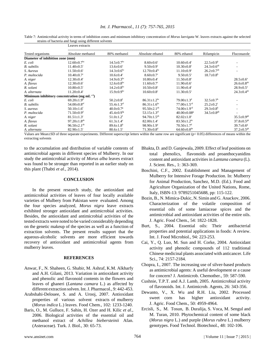| Table 7: Antimicrobial activity in terms of inhibition zones and minimum inhibitory concentration of <i>Morus laevigata</i> W. leaves extracts against the selected |  |  |  |
|---------------------------------------------------------------------------------------------------------------------------------------------------------------------|--|--|--|
| strains of bacteria and fungi using different solvents                                                                                                              |  |  |  |

|                                                 | Leaves extracts                                  |                                                                           |                               |                               |                             |                              |  |  |  |
|-------------------------------------------------|--------------------------------------------------|---------------------------------------------------------------------------|-------------------------------|-------------------------------|-----------------------------|------------------------------|--|--|--|
| Tested organisms                                | Absolute methanol                                | 80% methanol                                                              | Absolute ethanol              | 80% ethanol                   | Rifampicin                  | Fluconazole                  |  |  |  |
| Diameter of inhibition zone (mm)                |                                                  |                                                                           |                               |                               |                             |                              |  |  |  |
| E. coli                                         | $12.60 \pm 0.7$ <sup>bc</sup>                    | $14.5 \pm 0.7$ <sup>bc</sup>                                              | $8.60 \pm 0.6$ <sup>c</sup>   | $10.60 \pm 0.4$ °             | $22.5 \pm 0.9^b$            |                              |  |  |  |
| <b>B.</b> subtilis                              | $11.40 \pm 0.5$ <sup>c</sup>                     | $13.6 \pm 0.6^c$                                                          | $9.50 \pm 0.9$ <sup>c</sup>   | $10.30 \pm 0.8$ <sup>c</sup>  | $24.3 \pm 0.6^{ab}$         |                              |  |  |  |
| S. Aureus                                       | $11.50 \pm 0.6$ <sup>c</sup>                     | $14.3 \pm 0.6^{\rm bc}$                                                   | $12.70 \pm 0.4^{\rm bc}$      | $11.10+0.9^{\circ}$           | $26.2 \pm 0.7^{ab}$         |                              |  |  |  |
| P. multocida                                    | $10.40 \pm 0.7$ °                                | $10.6 \pm 0.4$ <sup>c</sup>                                               | $8.60 \pm 0.7$ <sup>c</sup>   | $9.50 \pm 0.5$ <sup>c</sup>   | $18.7 \pm 0.8^{\rm b}$      |                              |  |  |  |
| A. niger                                        | $12.30 \pm 0.4$ <sup>c</sup>                     | $14.9 \pm 0.3$ <sup>bc</sup>                                              | $10.80 \pm 0.4$ <sup>c</sup>  | $11.50 \pm 0.8$ <sup>c</sup>  |                             | $28.5 \pm 0.6^a$             |  |  |  |
| A. flavus                                       | $12.30 \pm 0.6$ <sup>c</sup>                     | $12.6 \pm 0.8$ <sup>bc</sup>                                              | $11.60 \pm 0.7$ °             | $11.90 \pm 0.6$ <sup>c</sup>  |                             | $26.6 \pm 0.8$ <sup>ab</sup> |  |  |  |
| R. solani                                       | $10.80 \pm 0.5$ <sup>c</sup>                     | $14.2 \pm 0.8^{\rm bc}$                                                   | $10.50 \pm 0.8$ <sup>c</sup>  | $11.90 \pm 0.4$ <sup>c</sup>  |                             | $28.9 \pm 0.5^{\text{a}}$    |  |  |  |
| A. alternata                                    | $11.20 \pm 0.4$ <sup>c</sup>                     | $15.9 \pm 0.9$ <sup>bc</sup>                                              | $10.60 \pm 0.8$ <sup>c</sup>  | $11.30 \pm 0.5$ <sup>c</sup>  |                             | $24.3 \pm 0.4^{ab}$          |  |  |  |
|                                                 | Minimum inhibitory concentration (mg $mL^{-1}$ ) |                                                                           |                               |                               |                             |                              |  |  |  |
| E. coli                                         | $69.20 \pm 1.9^d$                                | $50.2 \pm 0.8$ <sup>f</sup>                                               | $86.31 \pm 1.2^{bc}$          | $79.00 \pm 1.3$ <sup>d</sup>  | $32.5 \pm 0.7$ <sup>h</sup> |                              |  |  |  |
| <b>B.</b> subtilis                              | $54.00 \pm 0.8$ <sup>ef</sup>                    | $55.4 \pm 1.3$ <sup>ef</sup>                                              | $86.31 \pm 1.6$ <sup>bc</sup> | $77.00 + 1.5$ <sup>cd</sup>   | $25.2 \pm 0.2^i$            |                              |  |  |  |
| S. aureus                                       | $50.10 \pm 1.6$ <sup>f</sup>                     | $40.0 \pm 0.7$ <sup>g</sup>                                               | $95.50 \pm 2.1$ <sup>ab</sup> | $74.00 \pm 1.9$ <sup>cd</sup> | $29.3 \pm 0.8$ <sup>h</sup> |                              |  |  |  |
| P. multocida                                    | $71.50 \pm 0.9$ <sup>d</sup>                     | $45.4 \pm 0.9$ <sup>fg</sup>                                              | 53.15 $\pm$ 1.3 <sup>ef</sup> | $40.00+0.08g$                 | $34.5 \pm 0.8$ gh           |                              |  |  |  |
| A. niger                                        | $81.51 \pm 1.3$ <sup>c</sup>                     | $51.0 \pm 1.2$ <sup>f</sup>                                               | $94.70 \pm 1.5^{ab}$          | $82.02 \pm 1.0$ <sup>c</sup>  |                             | $35.5 \pm 0.9$ <sup>gh</sup> |  |  |  |
| A. flavus                                       | $97.20 \pm 1.8$ <sup>ab</sup>                    | $61.3 \pm 1.4^e$                                                          | $82.00 \pm 1.4$ <sup>c</sup>  | $83.50 \pm 1.2$ <sup>bc</sup> |                             | $37.8 \pm 0.5$ <sup>gh</sup> |  |  |  |
| R. solani                                       | $96.50 \pm 2.1$ <sup>ab</sup>                    | $89.6 \pm 1.8^b$                                                          | $98.90 \pm 1.9^{\mathrm{a}}$  | $70.50 \pm 1.7$ <sup>d</sup>  |                             | $39.7 \pm 0.6^8$             |  |  |  |
| A. alternata<br>$- - -$<br>$\sim$ $\sim$ $\sim$ | $82.90 \pm 1.5$ °                                | $80.6 \pm 1.5$ <sup>c</sup><br>$\sim$ . $\sim$<br>$\cdot$ $\cdot$ $\cdot$ | $71.30 \pm 0.8$ <sup>d</sup>  | $64.60 \pm 0.8$ <sup>de</sup> | $0.075$ $1.00$<br>$\sim$    | $37.2 \pm 0.5$ <sup>gh</sup> |  |  |  |

Values are Mean±SD of three separate experiments. Different superscript letters within the same row are significant (p< 0.05) differences of means within the extracting solvents

to the accumulation and distribution of variable contents of antimicrobial agents in different species of Mulberry. In our study the antimicrobial activity of *Morus alba* leaves extract was found to be stronger than reported in an earlier study on this plant (Thabti *et al*., 2014).

# **CONCLUSION**

In the present research study, the antioxidant and antimicrobial activities of leaves of four locally available varieties of Mulbery from Pakistan were evaluated. Among the four species analyzed, *Morus nigra* leave extracts exhibited stronger antioxidant and antimicrobial activities. Besides, the antioxidant and antimicrobial activities of the tested extracts were noted to be varied considerably depending on the genetic makeup of the species as well as a function of extraction solvents. The present results support that the aqueous-alcoholic solvents are more efficient towards recovery of antioxidant and antimicrobial agents from mulberry leaves.

#### **REFERENCES**

- Anwar, F., N. Shaheen, G. Shabir, M. Ashraf, K.M. Alkharfy and A.H. Gilani, 2013. Variation in antioxidant activity and phenolic and flavonoid contents in the flowers and leaves of ghaneri (*Lantana camara* L.) as affected by different extraction solven. Int. J. Pharmacol., 9: 442-453.
- Arabshahi-Delouee, S. and A. Urooj, 2007. Antioxidant properties of various solvent extracts of mulberry (*Morus indica* L.) leaves. Food Chem., 102: 1233-1240.
- Baris, O., M. Gulluce, F. Sahin, H. Ozer and H. Kilic *et al*., 2006. Biological activities of the essential oil and methanol extract of *Achillea biebersteinii* Afan. (Asteraceae). Turk. J. Biol., 30: 65-73.
- Bhakta, D. and D. Ganjewala, 2009. Effect of leaf positions on total phenolics, flavonoids and proanthocyanidins content and antioxidant activities in *Lantana camara* (L). J. Scient. Res., 1: 363-369.
- Boschini, C.F., 2002. Establishment and Management of Mulberry for Intensive Forage Production. In: Mulberry for Animal Production, Sanchez, M.D. (Ed.). Food and Agriculture Organization of the United Nations, Rome, Italy, ISBN-13: 9789251045688, pp: 115-122.
- Bozin, B., N. Mimica-Dukic, N. Simin and G. Anackov, 2006. Characterization of the volatile composition of essential oils of some lamiaceae spices and the antimicrobial and antioxidant activities of the entire oils. J. Agric. Food Chem., 54: 1822-1828.
- Burt, S., 2004. Essential oils: Their antibacterial properties and potential applications in foods: A review. Int. J. Food Microbiol., 94: 223-253.
- Cai, Y., Q. Luo, M. Sun and H. Corke, 2004. Antioxidant activity and phenolic compounds of 112 traditional Chinese medicinal plants associated with anticancer. Life Sci., 74: 2157-2184.
- Chopra, I., 2007. The increasing use of silver-based products as antimicrobial agents: A useful development or a cause for concern? J. Antimicrob. Chemother., 59: 587-590.
- Cushnie, T.P.T. and A.J. Lamb, 2005. Antimicrobial activity of flavonoids. Int. J. Antimicrob. Agents, 26: 343-356.
- Dewanto, V., X. Wu and R.H. Liu, 2002. Processed sweet corn has higher antioxidant activity. J. Agric. Food Chem., 50: 4959-4964.
- Ercisli, S., M. Tosun, B. Duralija, S. Voca, M. Sengul and M. Turan, 2010. Phytochemical content of some black (*Morus nigra* L.) and purple (*Morus rubra* L.) mulberry genotypes. Food Technol. Biotechnol., 48: 102-106.